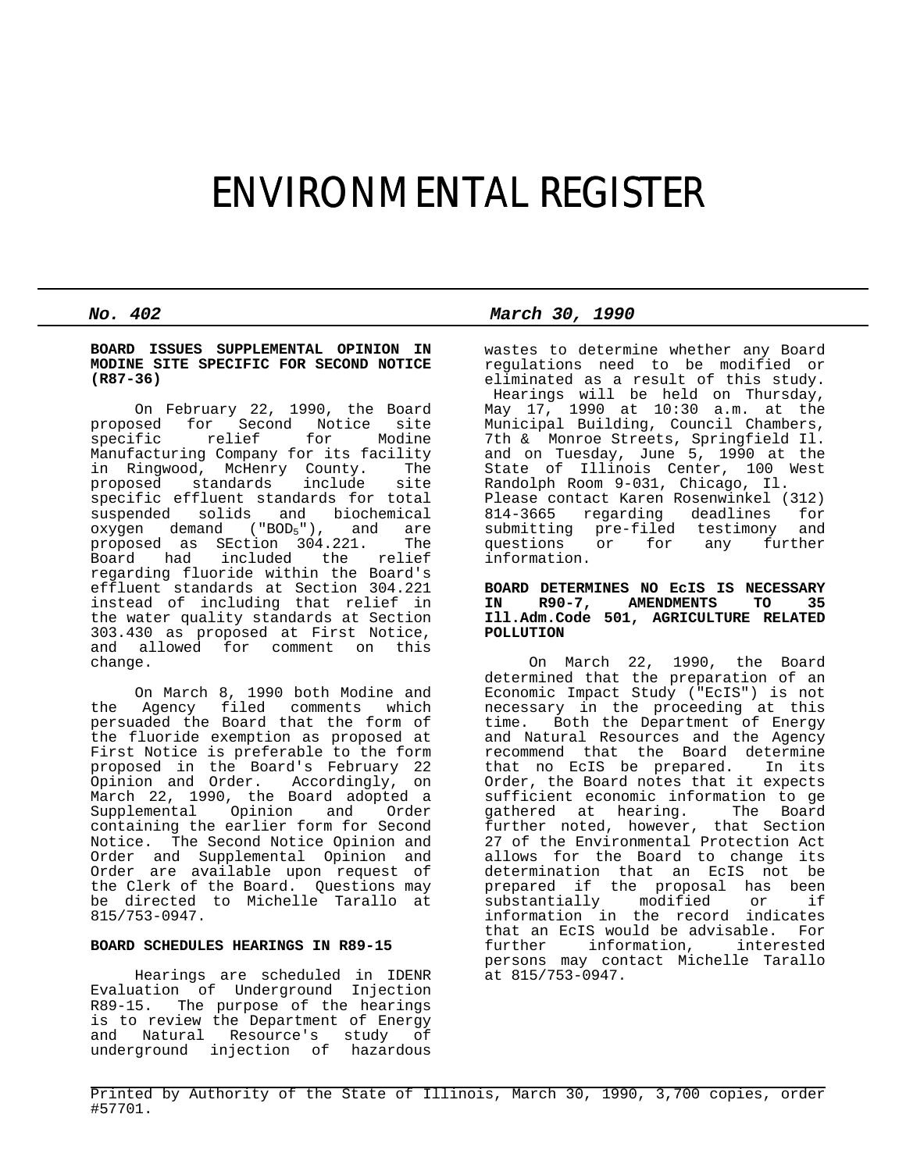# ENVIRONMENTAL REGISTER

#### **BOARD ISSUES SUPPLEMENTAL OPINION IN MODINE SITE SPECIFIC FOR SECOND NOTICE (R87-36)**

 On February 22, 1990, the Board proposed for Second Notice site relief Manufacturing Company for its facility in Ringwood, McHenry County. The proposed standards include site specific effluent standards for total suspended solids and biochemical  $\alpha$ ygen demand ("BOD<sub>5</sub>"), and are<br>proposed as SEction 304.221. The proposed as SEction 304.221.<br>Board had included the 1 had included the relief regarding fluoride within the Board's effluent standards at Section 304.221 instead of including that relief in the water quality standards at Section 303.430 as proposed at First Notice, and allowed for comment on change.

 On March 8, 1990 both Modine and the Agency filed comments which persuaded the Board that the form of the fluoride exemption as proposed at First Notice is preferable to the form proposed in the Board's February 22 Opinion and Order. Accordingly, on March 22, 1990, the Board adopted a<br>Supplemental Opinion and Order Supplemental Opinion containing the earlier form for Second Notice. The Second Notice Opinion and Order and Supplemental Opinion and Order are available upon request of the Clerk of the Board. Questions may be directed to Michelle Tarallo at 815/753-0947.

## **BOARD SCHEDULES HEARINGS IN R89-15**

 Hearings are scheduled in IDENR Evaluation of Underground Injection R89-15. The purpose of the hearings is to review the Department of Energy and Natural Resource's study of underground injection of hazardous

*No. 402 March 30, 1990*

wastes to determine whether any Board regulations need to be modified or eliminated as a result of this study. Hearings will be held on Thursday, May 17, 1990 at 10:30 a.m. at the Municipal Building, Council Chambers, 7th & Monroe Streets, Springfield Il. and on Tuesday, June 5, 1990 at the State of Illinois Center, 100 West Randolph Room 9-031, Chicago, Il. Please contact Karen Rosenwinkel (312) 814-3665 regarding deadlines for submitting pre-filed testimony and<br>questions or for any further for any further information.

## **BOARD DETERMINES NO EcIS IS NECESSARY** IN R90-7, AMENDMENTS **Ill.Adm.Code 501, AGRICULTURE RELATED POLLUTION**

 On March 22, 1990, the Board determined that the preparation of an Economic Impact Study ("EcIS") is not necessary in the proceeding at this time. Both the Department of Energy and Natural Resources and the Agency recommend that the Board determine that no EcIS be prepared. In its Order, the Board notes that it expects sufficient economic information to ge gathered at hearing. The Board further noted, however, that Section 27 of the Environmental Protection Act allows for the Board to change its determination that an EcIS not be prepared if the proposal has been<br>substantially modified or if substantially modified or if information in the record indicates that an EcIS would be advisable. For<br>further information, interested further information, persons may contact Michelle Tarallo at 815/753-0947.

Printed by Authority of the State of Illinois, March 30, 1990, 3,700 copies, order #57701.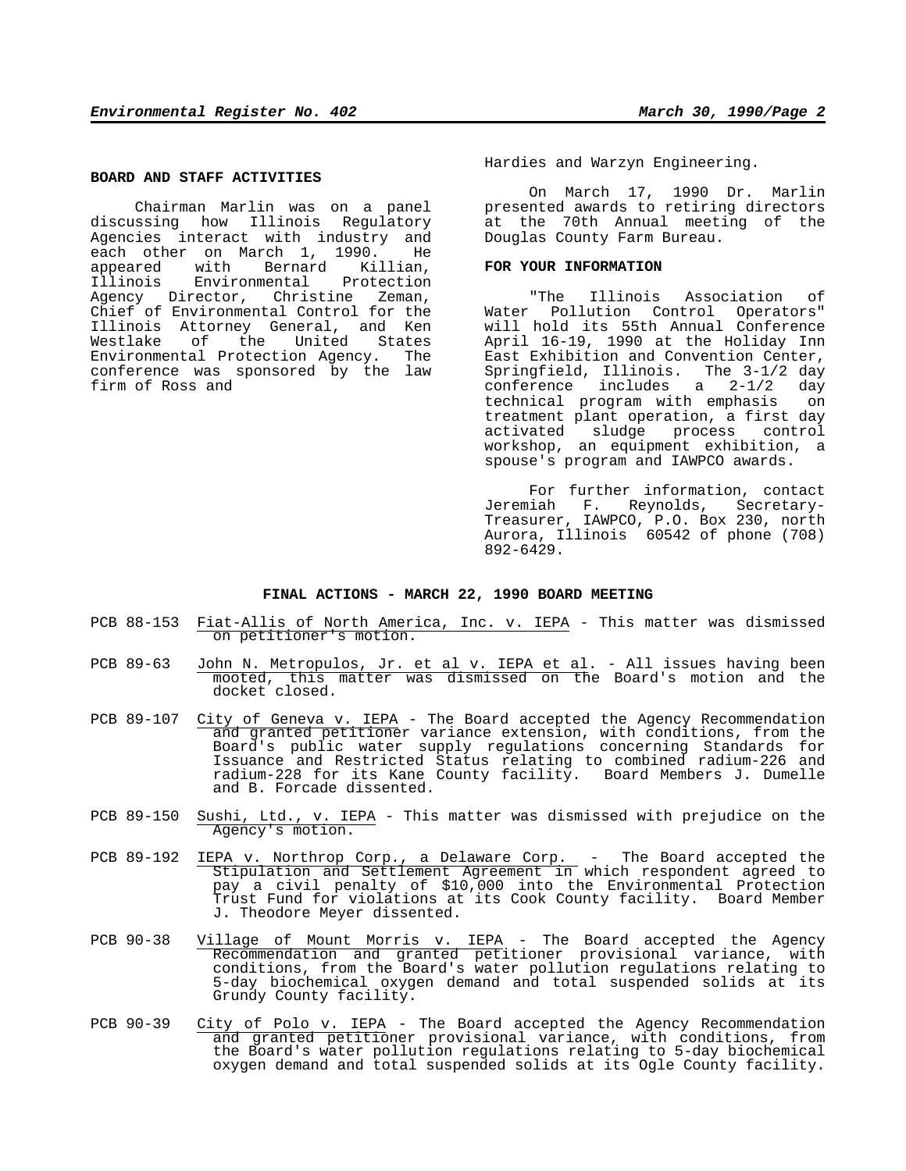#### **BOARD AND STAFF ACTIVITIES**

 Chairman Marlin was on a panel discussing how Illinois Regulatory Agencies interact with industry and each other on March 1, 1990. He appeared with Bernard Killian,<br>Illinois Environmental Protection Environmental Protection Agency Director, Christine Zeman, Chief of Environmental Control for the Illinois Attorney General, and Ken Westlake of the United States Environmental Protection Agency. The conference was sponsored by the law firm of Ross and

Hardies and Warzyn Engineering.

 On March 17, 1990 Dr. Marlin presented awards to retiring directors at the 70th Annual meeting of the Douglas County Farm Bureau.

#### **FOR YOUR INFORMATION**

 "The Illinois Association of Water Pollution Control Operators" will hold its 55th Annual Conference April 16-19, 1990 at the Holiday Inn East Exhibition and Convention Center, Springfield, Illinois. The 3-1/2 day conference includes a 2-1/2 day technical program with emphasis on treatment plant operation, a first day activated sludge process control workshop, an equipment exhibition, a spouse's program and IAWPCO awards.

 For further information, contact Jeremiah F. Reynolds, Secretary-Treasurer, IAWPCO, P.O. Box 230, north Aurora, Illinois 60542 of phone (708) 892-6429.

## **FINAL ACTIONS - MARCH 22, 1990 BOARD MEETING**

- PCB 88-153 Fiat-Allis of North America, Inc. v. IEPA This matter was dismissed on petitioner's motion.
- PCB 89-63 John N. Metropulos, Jr. et al v. IEPA et al. All issues having been mooted, this matter was dismissed on the Board's motion and the docket closed.
- PCB 89-107 City of Geneva v. IEPA The Board accepted the Agency Recommendation and granted petitioner variance extension, with conditions, from the Board's public water supply regulations concerning Standards for Issuance and Restricted Status relating to combined radium-226 and radium-228 for its Kane County facility. Board Members J. Dumelle and B. Forcade dissented.
- PCB 89-150 Sushi, Ltd., v. IEPA This matter was dismissed with prejudice on the Agency's motion.
- PCB 89-192 IEPA v. Northrop Corp., a Delaware Corp. The Board accepted the Stipulation and Settlement Agreement in which respondent agreed to pay a civil penalty of \$10,000 into the Environmental Protection Trust Fund for violations at its Cook County facility. Board Member J. Theodore Meyer dissented.
- PCB 90-38 Village of Mount Morris v. IEPA The Board accepted the Agency Recommendation and granted petitioner provisional variance, with conditions, from the Board's water pollution regulations relating to 5-day biochemical oxygen demand and total suspended solids at its Grundy County facility.
- PCB 90-39 City of Polo v. IEPA The Board accepted the Agency Recommendation and granted petitioner provisional variance, with conditions, from the Board's water pollution regulations relating to 5-day biochemical oxygen demand and total suspended solids at its Ogle County facility.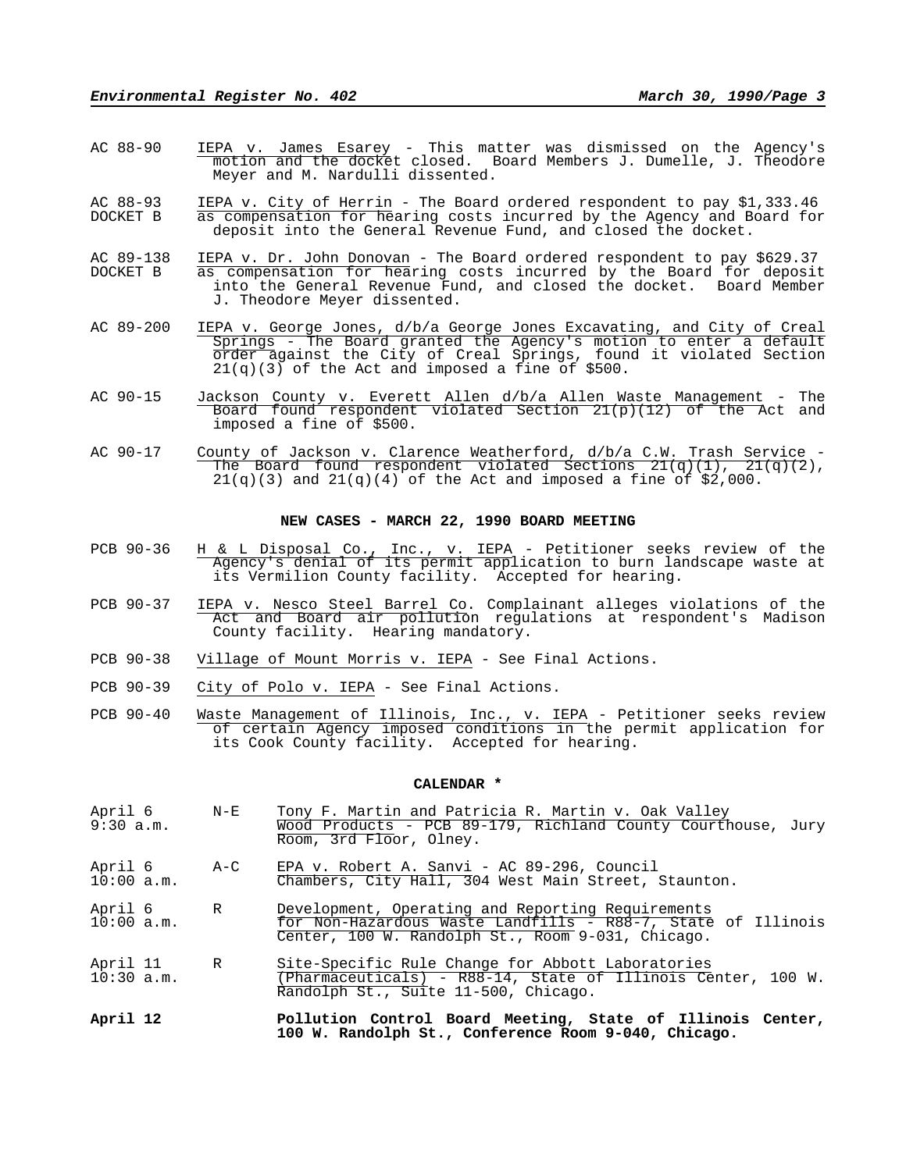- AC 88-90 IEPA v. James Esarey This matter was dismissed on the Agency's motion and the docket closed. Board Members J. Dumelle, J. Theodore Meyer and M. Nardulli dissented.
- AC 88-93 IEPA v. City of Herrin The Board ordered respondent to pay \$1,333.46 DOCKET B as compensation for hearing costs incurred by the Agency and Board for deposit into the General Revenue Fund, and closed the docket.
- AC 89-138 IEPA v. Dr. John Donovan The Board ordered respondent to pay \$629.37<br>DOCKET B as compensation for hearing costs incurred by the Board for deposit DOCKET B as compensation for hearing costs incurred by the Board for deposit into the General Revenue Fund, and closed the docket. Board Member J. Theodore Meyer dissented.
- AC 89-200 IEPA v. George Jones, d/b/a George Jones Excavating, and City of Creal Springs - The Board granted the Agency's motion to enter a default order against the City of Creal Springs, found it violated Section 21(q)(3) of the Act and imposed a fine of \$500.
- AC 90-15 Jackson County v. Everett Allen d/b/a Allen Waste Management The Board found respondent violated Section 21(p)(12) of the Act and imposed a fine of \$500.
- AC 90-17 County of Jackson v. Clarence Weatherford, d/b/a C.W. Trash Service The Board found respondent violated Sections  $21(q)(1)$ ,  $21(q)(2)$ ,  $21(q)(3)$  and  $21(q)(4)$  of the Act and imposed a fine of \$2,000.

#### **NEW CASES - MARCH 22, 1990 BOARD MEETING**

- PCB 90-36 H & L Disposal Co., Inc., v. IEPA Petitioner seeks review of the Agency's denial of its permit application to burn landscape waste at its Vermilion County facility. Accepted for hearing.
- PCB 90-37 IEPA v. Nesco Steel Barrel Co. Complainant alleges violations of the Act and Board air pollution regulations at respondent's Madison County facility. Hearing mandatory.
- PCB 90-38 Village of Mount Morris v. IEPA See Final Actions.
- PCB 90-39 City of Polo v. IEPA See Final Actions.
- PCB 90-40 Waste Management of Illinois, Inc., v. IEPA Petitioner seeks review of certain Agency imposed conditions in the permit application for its Cook County facility. Accepted for hearing.

#### **CALENDAR \***

- April 6 M-E Tony F. Martin and Patricia R. Martin v. Oak Valley<br>9:30 a.m. Wood Products PCB 89-179, Richland County Court 9:30 a.m. Wood Products - PCB 89-179, Richland County Courthouse, Jury Room, 3rd Floor, Olney.
- April 6 A-C EPA v. Robert A. Sanvi AC 89-296, Council Chambers, City Hall, 304 West Main Street, Staunton.
- April 6 R Development, Operating and Reporting Requirements 10:00 a.m. for Non-Hazardous Waste Landfills - R88-7, State of Illinois Center, 100 W. Randolph St., Room 9-031, Chicago.
- April 11 R Site-Specific Rule Change for Abbott Laboratories<br>10:30 a.m. (Pharmaceuticals) R88-14, State of Illinois Ce 10:30 a.m. (Pharmaceuticals) - R88-14, State of Illinois Center, 100 W. Randolph St., Suite 11-500, Chicago.
- **April 12 Pollution Control Board Meeting, State of Illinois Center, 100 W. Randolph St., Conference Room 9-040, Chicago.**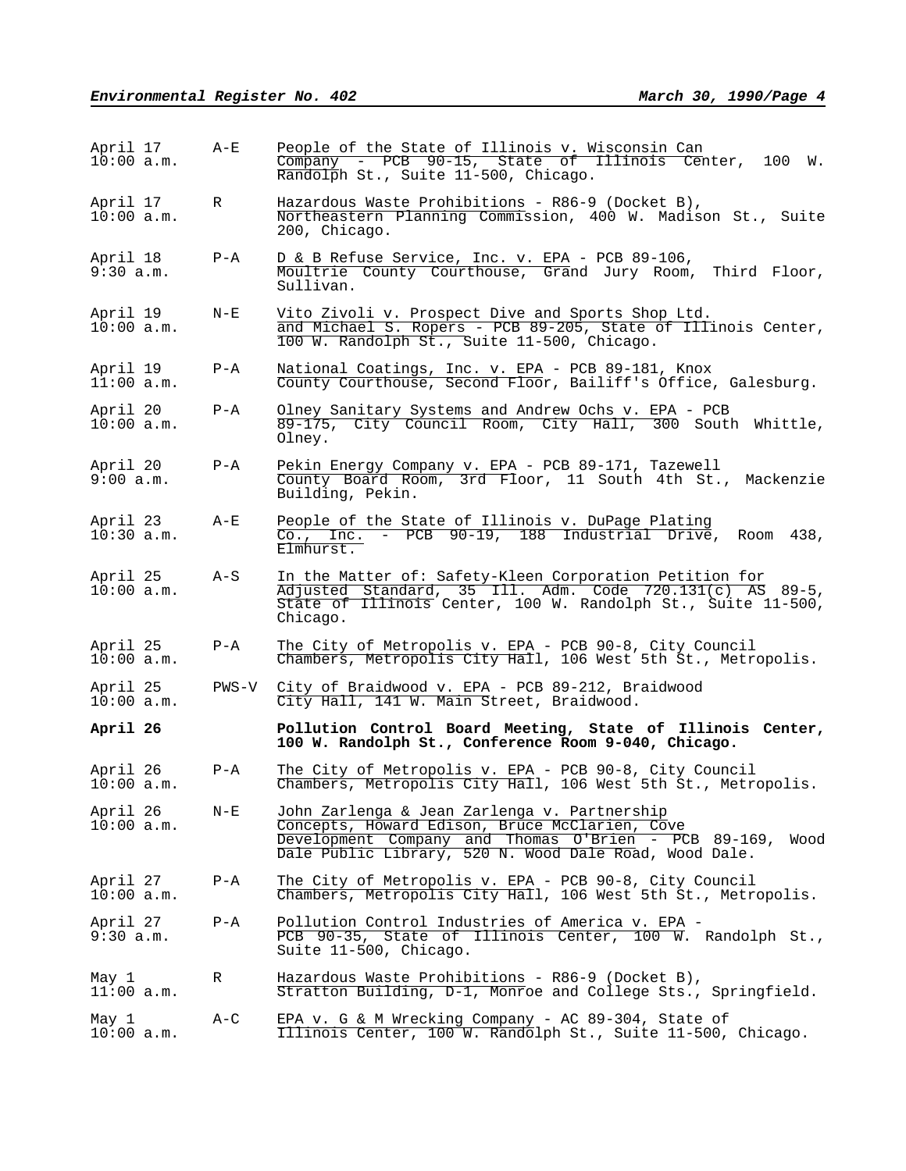| April 17<br>$10:00$ a.m. | $A-E$   | People of the State of Illinois v. Wisconsin Can<br>Company - PCB 90-15, State of Illinois Center, 100 W.<br>Randolph St., Suite 11-500, Chicago.                                                                        |
|--------------------------|---------|--------------------------------------------------------------------------------------------------------------------------------------------------------------------------------------------------------------------------|
| April 17<br>$10:00$ a.m. | R       | Hazardous Waste Prohibitions - R86-9 (Docket B),<br>Northeastern Planning Commission, 400 W. Madison St., Suite<br>200, Chicago.                                                                                         |
| April 18<br>9:30 a.m.    | $P - A$ | D & B Refuse Service, Inc. v. EPA - PCB 89-106,<br>Moultrie County Courthouse, Grand Jury Room, Third Floor,<br>Sullivan.                                                                                                |
| April 19<br>10:00 a.m.   | $N - E$ | Vito Zivoli v. Prospect Dive and Sports Shop Ltd.<br>and Michael S. Ropers - PCB 89-205, State of Illinois Center,<br>100 W. Randolph St., Suite 11-500, Chicago.                                                        |
| April 19<br>11:00 a.m.   | P-A     | National Coatings, Inc. v. EPA - PCB 89-181, Knox<br>County Courthouse, Second Floor, Bailiff's Office, Galesburg.                                                                                                       |
| April 20<br>$10:00$ a.m. | $P - A$ | Olney Sanitary Systems and Andrew Ochs v. EPA - PCB<br>89-175, City Council Room, City Hall, 300 South Whittle,<br>Olney.                                                                                                |
| April 20<br>9:00 a.m.    | $P - A$ | Pekin Energy Company v. EPA - PCB 89-171, Tazewell<br>County Board Room, 3rd Floor, 11 South 4th St., Mackenzie<br>Building, Pekin.                                                                                      |
| April 23<br>$10:30$ a.m. | A-E     | People of the State of Illinois v. DuPage Plating<br>Co., Inc. - PCB 90-19, 188 Industrial Drive, Room 438,<br>Elmhurst.                                                                                                 |
| April 25<br>$10:00$ a.m. | A-S     | In the Matter of: Safety-Kleen Corporation Petition for<br>$\overline{\text{Adjusted Standard}}$ , 35 Ill. Adm. Code 720.131(c) AS 89-5,<br>State of Illinois Center, 100 W. Randolph St., Suite 11-500,<br>Chicago.     |
| April 25<br>$10:00$ a.m. | $P - A$ | The City of Metropolis v. EPA - PCB 90-8, City Council<br>Chambers, Metropolis City Hall, 106 West 5th St., Metropolis.                                                                                                  |
| April 25<br>10:00 a.m.   | PWS-V   | City of Braidwood v. EPA - PCB 89-212, Braidwood<br>City Hall, 141 W. Main Street, Braidwood.                                                                                                                            |
| April 26                 |         | Pollution Control Board Meeting, State of Illinois Center,<br>100 W. Randolph St., Conference Room 9-040, Chicago.                                                                                                       |
| April 26<br>$10:00$ a.m. | P-A     | The City of Metropolis v. EPA - PCB 90-8, City Council<br>Chambers, Metropolis City Hall, 106 West 5th St., Metropolis.                                                                                                  |
| April 26<br>$10:00$ a.m. | $N - E$ | John Zarlenga & Jean Zarlenga v. Partnership<br>Concepts, Howard Edison, Bruce McClarien, Cove<br>Development Company and Thomas O'Brien - PCB 89-169,<br>Wood<br>Dale Public Library, 520 N. Wood Dale Road, Wood Dale. |
| April 27<br>$10:00$ a.m. | $P - A$ | The City of Metropolis v. EPA - PCB 90-8, City Council<br>Chambers, Metropolis City Hall, 106 West 5th St., Metropolis.                                                                                                  |
| April 27<br>9:30 a.m.    | $P - A$ | Pollution Control Industries of America v. EPA -<br>PCB 90-35, State of Illinois Center, 100 W. Randolph St.,<br>Suite 11-500, Chicago.                                                                                  |
| May 1<br>$11:00$ a.m.    | R       | Hazardous Waste Prohibitions - R86-9 (Docket B),<br>Stratton Building, D-1, Monroe and College Sts., Springfield.                                                                                                        |
| May 1<br>$10:00$ a.m.    | A-C     | EPA v. G & M Wrecking Company - AC 89-304, State of<br>Illinois Center, 100 W. Randolph St., Suite 11-500, Chicago.                                                                                                      |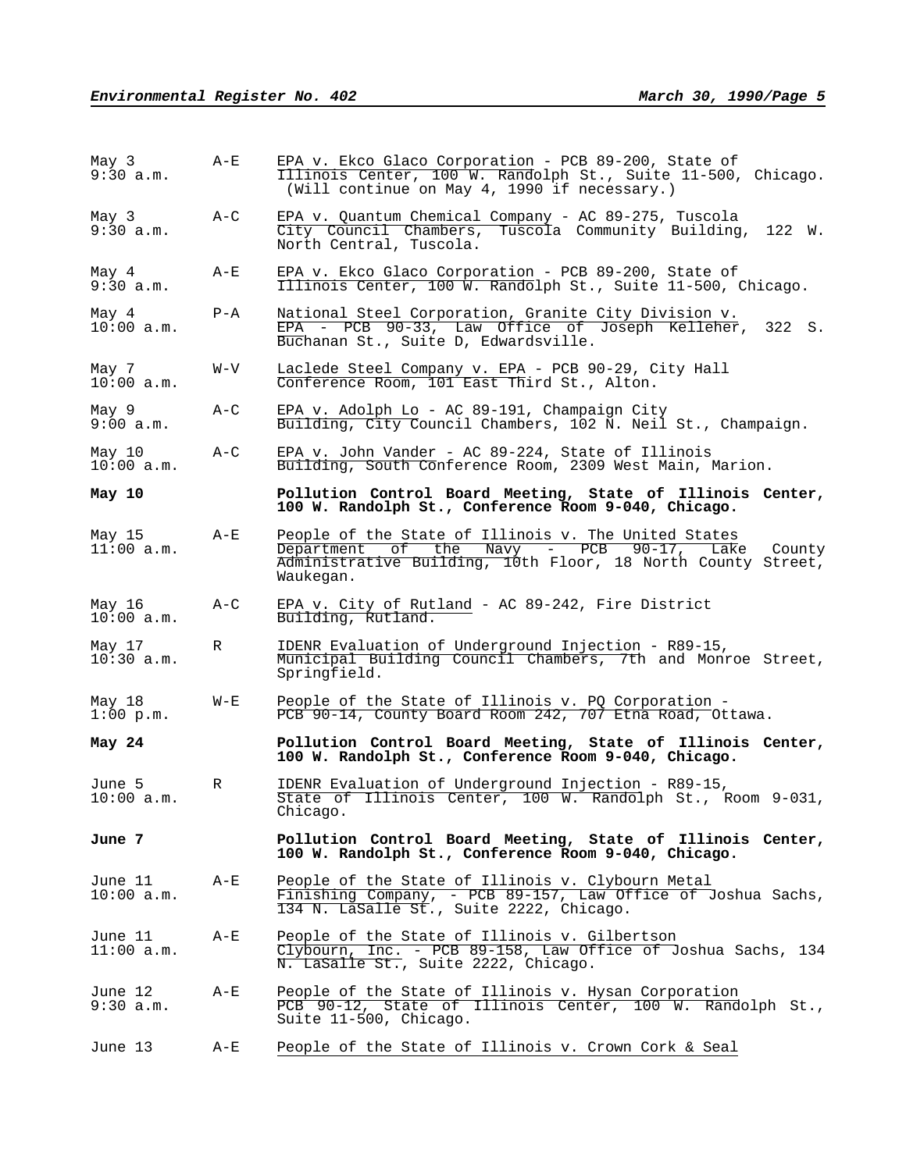| May 3<br>9:30 a.m.      | A-E     | EPA v. Ekco Glaco Corporation - PCB 89-200, State of<br>Illinois Center, 100 W. Randolph St., Suite 11-500, Chicago.<br>(Will continue on May 4, 1990 if necessary.)                    |  |  |  |  |
|-------------------------|---------|-----------------------------------------------------------------------------------------------------------------------------------------------------------------------------------------|--|--|--|--|
| May 3<br>9:30 a.m.      | A-C     | EPA v. Quantum Chemical Company - AC 89-275, Tuscola<br>City Council Chambers, Tuscola Community Building, 122 W.<br>North Central, Tuscola.                                            |  |  |  |  |
| May 4<br>9:30 a.m.      | A-E     | EPA v. Ekco Glaco Corporation - PCB 89-200, State of<br>Illinois Center, 100 W. Randolph St., Suite 11-500, Chicago.                                                                    |  |  |  |  |
| May 4<br>$10:00$ a.m.   | $P - A$ | National Steel Corporation, Granite City Division v.<br>EPA - PCB 90-33, Law Office of Joseph Kelleher, 322 S.<br>Buchanan St., Suite D, Edwardsville.                                  |  |  |  |  |
| May 7<br>$10:00$ a.m.   | W-V     | Laclede Steel Company v. EPA - PCB 90-29, City Hall<br>Conference Room, 101 East Third St., Alton.                                                                                      |  |  |  |  |
| May 9<br>9:00 a.m.      | A-C     | EPA v. Adolph Lo - AC 89-191, Champaign City<br>Building, City Council Chambers, 102 N. Neil St., Champaign.                                                                            |  |  |  |  |
| May 10<br>$10:00$ a.m.  | A-C     | EPA v. John Vander - AC $89-224$ , State of Illinois<br>Building, South Conference Room, 2309 West Main, Marion.                                                                        |  |  |  |  |
| May 10                  |         | Pollution Control Board Meeting, State of Illinois Center,<br>100 W. Randolph St., Conference Room 9-040, Chicago.                                                                      |  |  |  |  |
| May 15<br>$11:00$ a.m.  | $A-E$   | People of the State of Illinois v. The United States<br>of the Navy - PCB 90-17, Lake County<br>Department<br>Administrative Building, 10th Floor, 18 North County Street,<br>Waukegan. |  |  |  |  |
| May 16<br>$10:00$ a.m.  | $A-C$   | EPA v. City of Rutland - AC 89-242, Fire District<br>Building, Rutland.                                                                                                                 |  |  |  |  |
| May 17<br>$10:30$ a.m.  | R       | IDENR Evaluation of Underground Injection - R89-15,<br>Municipal Building Council Chambers, 7th and Monroe Street,<br>Springfield.                                                      |  |  |  |  |
| May 18<br>$1:00$ p.m.   | $W - E$ | People of the State of Illinois v. PQ Corporation -<br>PCB 90-14, County Board Room 242, 707 Etna Road, Ottawa.                                                                         |  |  |  |  |
| May 24                  |         | Pollution Control Board Meeting, State of Illinois Center,<br>100 W. Randolph St., Conference Room 9-040, Chicago.                                                                      |  |  |  |  |
| June 5<br>$10:00$ a.m.  | R       | IDENR Evaluation of Underground Injection - R89-15,<br>State of Illinois Center, 100 W. Randolph St., Room 9-031,<br>Chicago.                                                           |  |  |  |  |
| June 7                  |         | Pollution Control Board Meeting, State of Illinois Center,<br>100 W. Randolph St., Conference Room 9-040, Chicago.                                                                      |  |  |  |  |
| June 11<br>$10:00$ a.m. | $A-E$   | People of the State of Illinois v. Clybourn Metal<br>Finishing Company, - PCB 89-157, Law Office of Joshua Sachs,<br>134 N. LaSalle St., Suite 2222, Chicago.                           |  |  |  |  |
| June 11<br>11:00 a.m.   | $A-E$   | People of the State of Illinois v. Gilbertson<br>Clybourn, Inc. - PCB 89-158, Law Office of Joshua Sachs, 134<br>N. LaSalle St., Suite 2222, Chicago.                                   |  |  |  |  |
| June 12<br>9:30 a.m.    | A-E     | People of the State of Illinois v. Hysan Corporation<br>PCB 90-12, State of Illinois Center, 100 W. Randolph St.,<br>Suite 11-500, Chicago.                                             |  |  |  |  |
| June 13                 | A-E     | People of the State of Illinois v. Crown Cork & Seal                                                                                                                                    |  |  |  |  |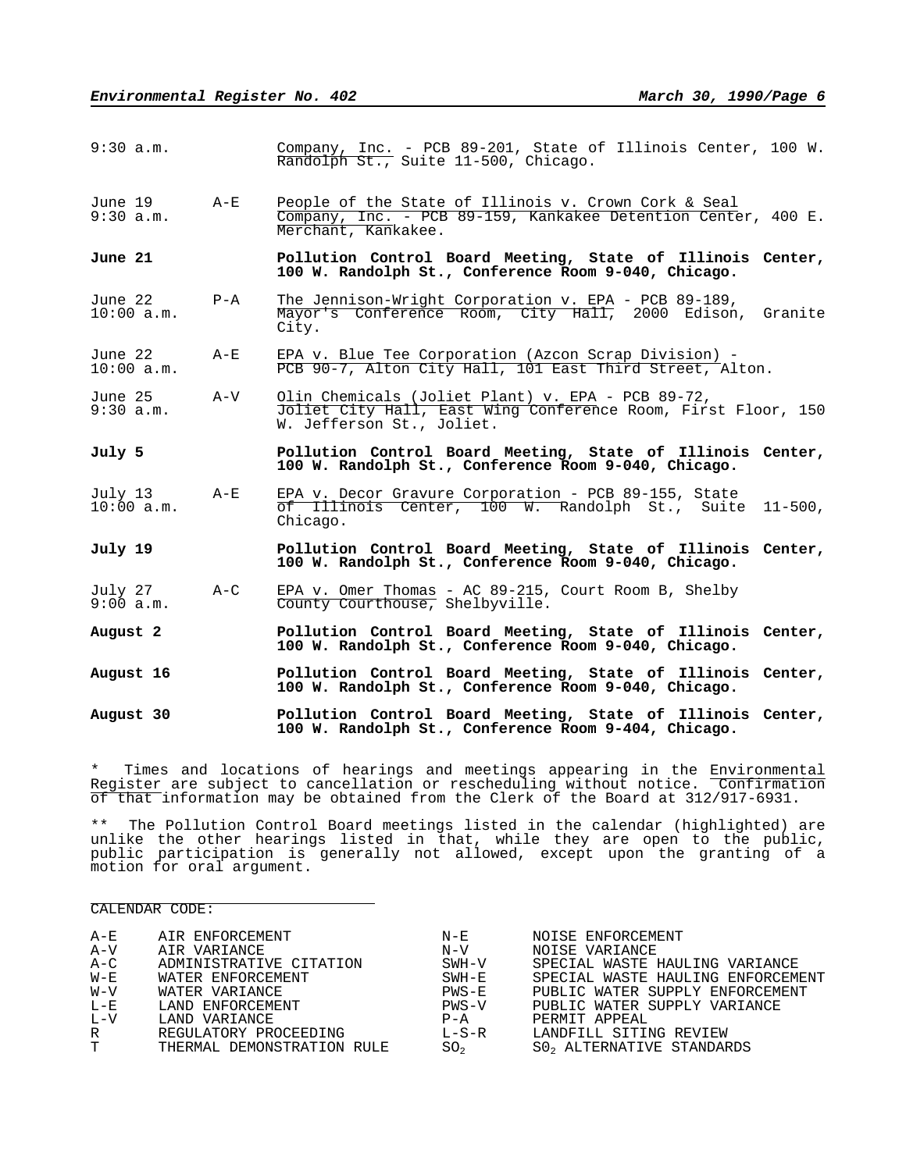| $9:30$ a.m.           |         | Company, Inc. - PCB 89-201, State of Illinois Center, 100 W.<br>Randolph St., Suite 11-500, Chicago.                                            |  |  |  |
|-----------------------|---------|-------------------------------------------------------------------------------------------------------------------------------------------------|--|--|--|
| June 19<br>9:30 a.m.  | $A - E$ | People of the State of Illinois v. Crown Cork & Seal<br>Company, Inc. - PCB 89-159, Kankakee Detention Center, 400 E.<br>Merchant, Kankakee.    |  |  |  |
| June 21               |         | Pollution Control Board Meeting, State of Illinois Center,<br>100 W. Randolph St., Conference Room 9-040, Chicago.                              |  |  |  |
| June 22<br>10:00 a.m. | $P - A$ | The Jennison-Wright Corporation v. EPA - PCB 89-189,<br>Mayor's Conference Room, City Hall, 2000 Edison, Granite<br>City.                       |  |  |  |
| June 22<br>10:00 a.m. | $A - E$ | EPA v. Blue Tee Corporation (Azcon Scrap Division) -<br>PCB 90-7, Alton City Hall, 101 East Third Street, Alton.                                |  |  |  |
| June 25<br>9:30 a.m.  | A-V     | Olin Chemicals (Joliet Plant) v. EPA - PCB 89-72,<br>Joliet City Hall, East Wing Conference Room, First Floor, 150<br>W. Jefferson St., Joliet. |  |  |  |
| July 5                |         | Pollution Control Board Meeting, State of Illinois Center,<br>100 W. Randolph St., Conference Room 9-040, Chicago.                              |  |  |  |
| July 13<br>10:00 a.m. | $A - E$ | EPA v. Decor Gravure Corporation - PCB 89-155, State<br>of Illinois Center, 100 W. Randolph St., Suite 11-500,<br>Chicago.                      |  |  |  |
| July 19               |         | Pollution Control Board Meeting, State of Illinois Center,<br>100 W. Randolph St., Conference Room 9-040, Chicago.                              |  |  |  |
| July 27<br>9:00 a.m.  | $A - C$ | EPA v. Omer Thomas - AC 89-215, Court Room B, Shelby<br>County Courthouse, Shelbyville.                                                         |  |  |  |
| August 2              |         | Pollution Control Board Meeting, State of Illinois Center,<br>100 W. Randolph St., Conference Room 9-040, Chicago.                              |  |  |  |
| August 16             |         | Pollution Control Board Meeting, State of Illinois Center,<br>100 W. Randolph St., Conference Room 9-040, Chicago.                              |  |  |  |
|                       |         |                                                                                                                                                 |  |  |  |

\* Times and locations of hearings and meetings appearing in the Environmental Register are subject to cancellation or rescheduling without notice. Confirmation of that information may be obtained from the Clerk of the Board at 312/917-6931.

\*\* The Pollution Control Board meetings listed in the calendar (highlighted) are unlike the other hearings listed in that, while they are open to the public, public participation is generally not allowed, except upon the granting of a motion for oral argument.

#### CALENDAR CODE:

| A-E     | AIR ENFORCEMENT            | $N - E$         | NOISE ENFORCEMENT                 |
|---------|----------------------------|-----------------|-----------------------------------|
| $A-V$   | AIR VARIANCE               | $N - V$         | NOISE VARIANCE                    |
| $A-C$   | ADMINISTRATIVE CITATION    | SWH-V           | SPECIAL WASTE HAULING VARIANCE    |
| $W - E$ | WATER ENFORCEMENT          | SWH-E           | SPECIAL WASTE HAULING ENFORCEMENT |
| $W - V$ | WATER VARIANCE             | $PWS-E$         | PUBLIC WATER SUPPLY ENFORCEMENT   |
| $L-E$   | LAND ENFORCEMENT           | $PWS-V$         | PUBLIC WATER SUPPLY VARIANCE      |
| $L - V$ | LAND VARIANCE              | $P - A$         | PERMIT APPEAL                     |
| R       | REGULATORY PROCEEDING      | $L-S-R$         | LANDFILL SITING REVIEW            |
| T –     | THERMAL DEMONSTRATION RULE | SO <sub>2</sub> | SO, ALTERNATIVE STANDARDS         |
|         |                            |                 |                                   |